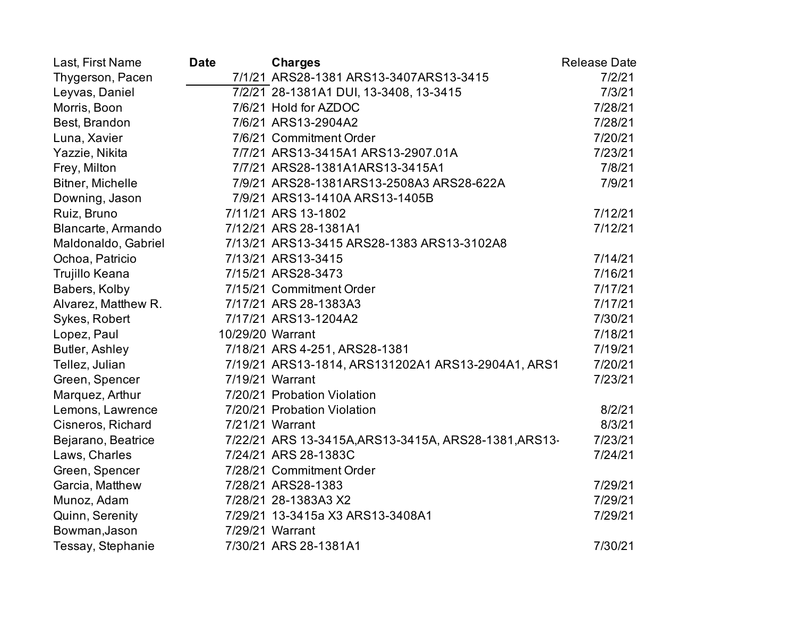| Last, First Name    | <b>Date</b>      | <b>Charges</b>                                           | <b>Release Date</b> |
|---------------------|------------------|----------------------------------------------------------|---------------------|
| Thygerson, Pacen    |                  | 7/1/21 ARS28-1381 ARS13-3407ARS13-3415                   | 7/2/21              |
| Leyvas, Daniel      |                  | 7/2/21 28-1381A1 DUI, 13-3408, 13-3415                   | 7/3/21              |
| Morris, Boon        |                  | 7/6/21 Hold for AZDOC                                    | 7/28/21             |
| Best, Brandon       |                  | 7/6/21 ARS13-2904A2                                      | 7/28/21             |
| Luna, Xavier        |                  | 7/6/21 Commitment Order                                  | 7/20/21             |
| Yazzie, Nikita      |                  | 7/7/21 ARS13-3415A1 ARS13-2907.01A                       | 7/23/21             |
| Frey, Milton        |                  | 7/7/21 ARS28-1381A1ARS13-3415A1                          | 7/8/21              |
| Bitner, Michelle    |                  | 7/9/21 ARS28-1381ARS13-2508A3 ARS28-622A                 | 7/9/21              |
| Downing, Jason      |                  | 7/9/21 ARS13-1410A ARS13-1405B                           |                     |
| Ruiz, Bruno         |                  | 7/11/21 ARS 13-1802                                      | 7/12/21             |
| Blancarte, Armando  |                  | 7/12/21 ARS 28-1381A1                                    | 7/12/21             |
| Maldonaldo, Gabriel |                  | 7/13/21 ARS13-3415 ARS28-1383 ARS13-3102A8               |                     |
| Ochoa, Patricio     |                  | 7/13/21 ARS13-3415                                       | 7/14/21             |
| Trujillo Keana      |                  | 7/15/21 ARS28-3473                                       | 7/16/21             |
| Babers, Kolby       |                  | 7/15/21 Commitment Order                                 | 7/17/21             |
| Alvarez, Matthew R. |                  | 7/17/21 ARS 28-1383A3                                    | 7/17/21             |
| Sykes, Robert       |                  | 7/17/21 ARS13-1204A2                                     | 7/30/21             |
| Lopez, Paul         | 10/29/20 Warrant |                                                          | 7/18/21             |
| Butler, Ashley      |                  | 7/18/21 ARS 4-251, ARS28-1381                            | 7/19/21             |
| Tellez, Julian      |                  | 7/19/21 ARS13-1814, ARS131202A1 ARS13-2904A1, ARS1       | 7/20/21             |
| Green, Spencer      |                  | 7/19/21 Warrant                                          | 7/23/21             |
| Marquez, Arthur     |                  | 7/20/21 Probation Violation                              |                     |
| Lemons, Lawrence    |                  | 7/20/21 Probation Violation                              | 8/2/21              |
| Cisneros, Richard   |                  | 7/21/21 Warrant                                          | 8/3/21              |
| Bejarano, Beatrice  |                  | 7/22/21 ARS 13-3415A, ARS 13-3415A, ARS 28-1381, ARS 13- | 7/23/21             |
| Laws, Charles       |                  | 7/24/21 ARS 28-1383C                                     | 7/24/21             |
| Green, Spencer      |                  | 7/28/21 Commitment Order                                 |                     |
| Garcia, Matthew     |                  | 7/28/21 ARS28-1383                                       | 7/29/21             |
| Munoz, Adam         |                  | 7/28/21 28-1383A3 X2                                     | 7/29/21             |
| Quinn, Serenity     |                  | 7/29/21 13-3415a X3 ARS13-3408A1                         | 7/29/21             |
| Bowman, Jason       |                  | 7/29/21 Warrant                                          |                     |
| Tessay, Stephanie   |                  | 7/30/21 ARS 28-1381A1                                    | 7/30/21             |